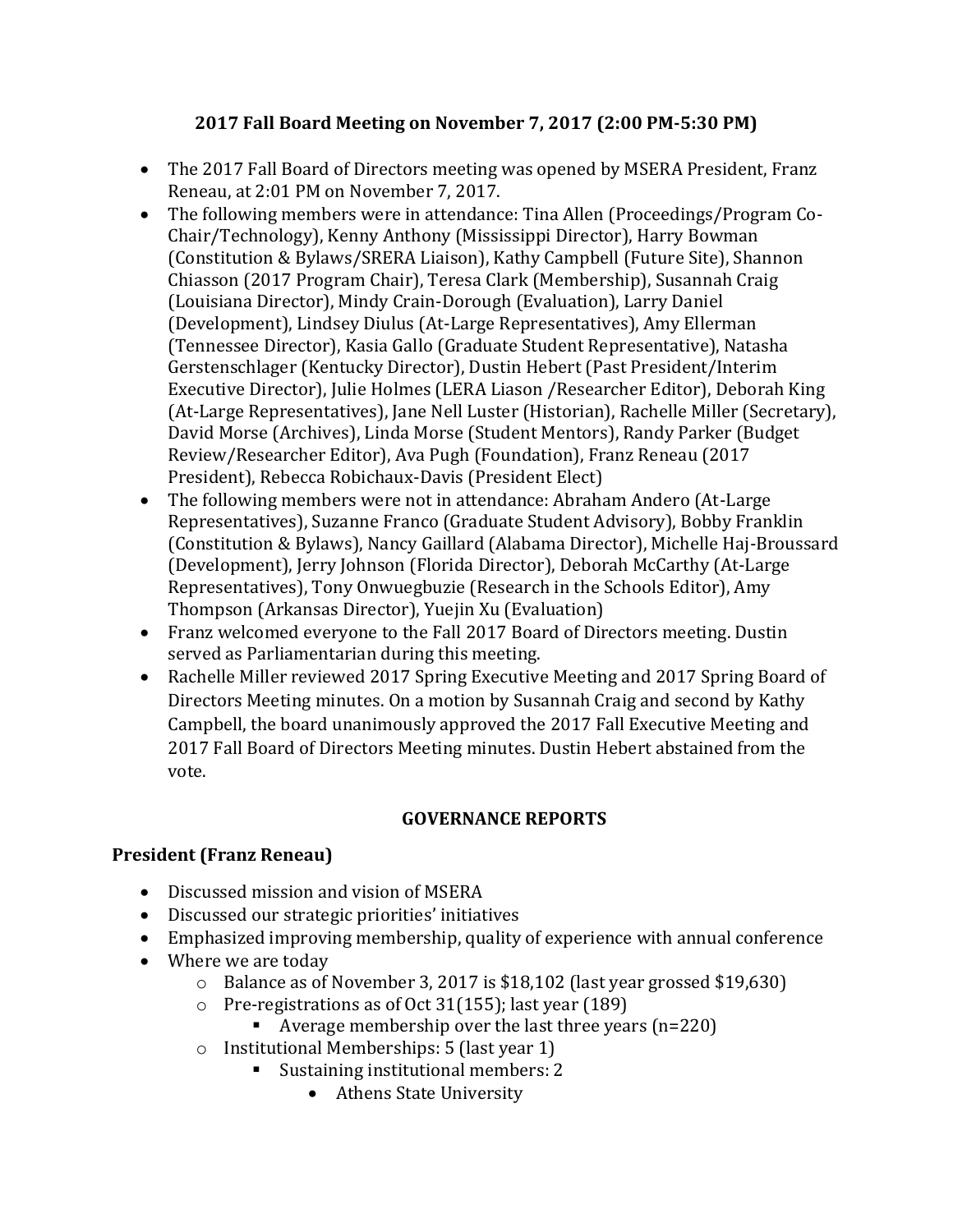# **2017 Fall Board Meeting on November 7, 2017 (2:00 PM-5:30 PM)**

- The 2017 Fall Board of Directors meeting was opened by MSERA President, Franz Reneau, at 2:01 PM on November 7, 2017.
- The following members were in attendance: Tina Allen (Proceedings/Program Co-Chair/Technology), Kenny Anthony (Mississippi Director), Harry Bowman (Constitution & Bylaws/SRERA Liaison), Kathy Campbell (Future Site), Shannon Chiasson (2017 Program Chair), Teresa Clark (Membership), Susannah Craig (Louisiana Director), Mindy Crain-Dorough (Evaluation), Larry Daniel (Development), Lindsey Diulus (At-Large Representatives), Amy Ellerman (Tennessee Director), Kasia Gallo (Graduate Student Representative), Natasha Gerstenschlager (Kentucky Director), Dustin Hebert (Past President/Interim Executive Director), Julie Holmes (LERA Liason /Researcher Editor), Deborah King (At-Large Representatives), Jane Nell Luster (Historian), Rachelle Miller (Secretary), David Morse (Archives), Linda Morse (Student Mentors), Randy Parker (Budget Review/Researcher Editor), Ava Pugh (Foundation), Franz Reneau (2017 President), Rebecca Robichaux-Davis (President Elect)
- The following members were not in attendance: Abraham Andero (At-Large Representatives), Suzanne Franco (Graduate Student Advisory), Bobby Franklin (Constitution & Bylaws), Nancy Gaillard (Alabama Director), Michelle Haj-Broussard (Development), Jerry Johnson (Florida Director), Deborah McCarthy (At-Large Representatives), Tony Onwuegbuzie (Research in the Schools Editor), Amy Thompson (Arkansas Director), Yuejin Xu (Evaluation)
- Franz welcomed everyone to the Fall 2017 Board of Directors meeting. Dustin served as Parliamentarian during this meeting.
- Rachelle Miller reviewed 2017 Spring Executive Meeting and 2017 Spring Board of Directors Meeting minutes. On a motion by Susannah Craig and second by Kathy Campbell, the board unanimously approved the 2017 Fall Executive Meeting and 2017 Fall Board of Directors Meeting minutes. Dustin Hebert abstained from the vote.

# **GOVERNANCE REPORTS**

# **President (Franz Reneau)**

- Discussed mission and vision of MSERA
- Discussed our strategic priorities' initiatives
- Emphasized improving membership, quality of experience with annual conference
- Where we are today
	- o Balance as of November 3, 2017 is \$18,102 (last year grossed \$19,630)
	- o Pre-registrations as of Oct 31(155); last year (189)
		- $\blacksquare$  Average membership over the last three years (n=220)
	- o Institutional Memberships: 5 (last year 1)
		- Sustaining institutional members: 2
			- Athens State University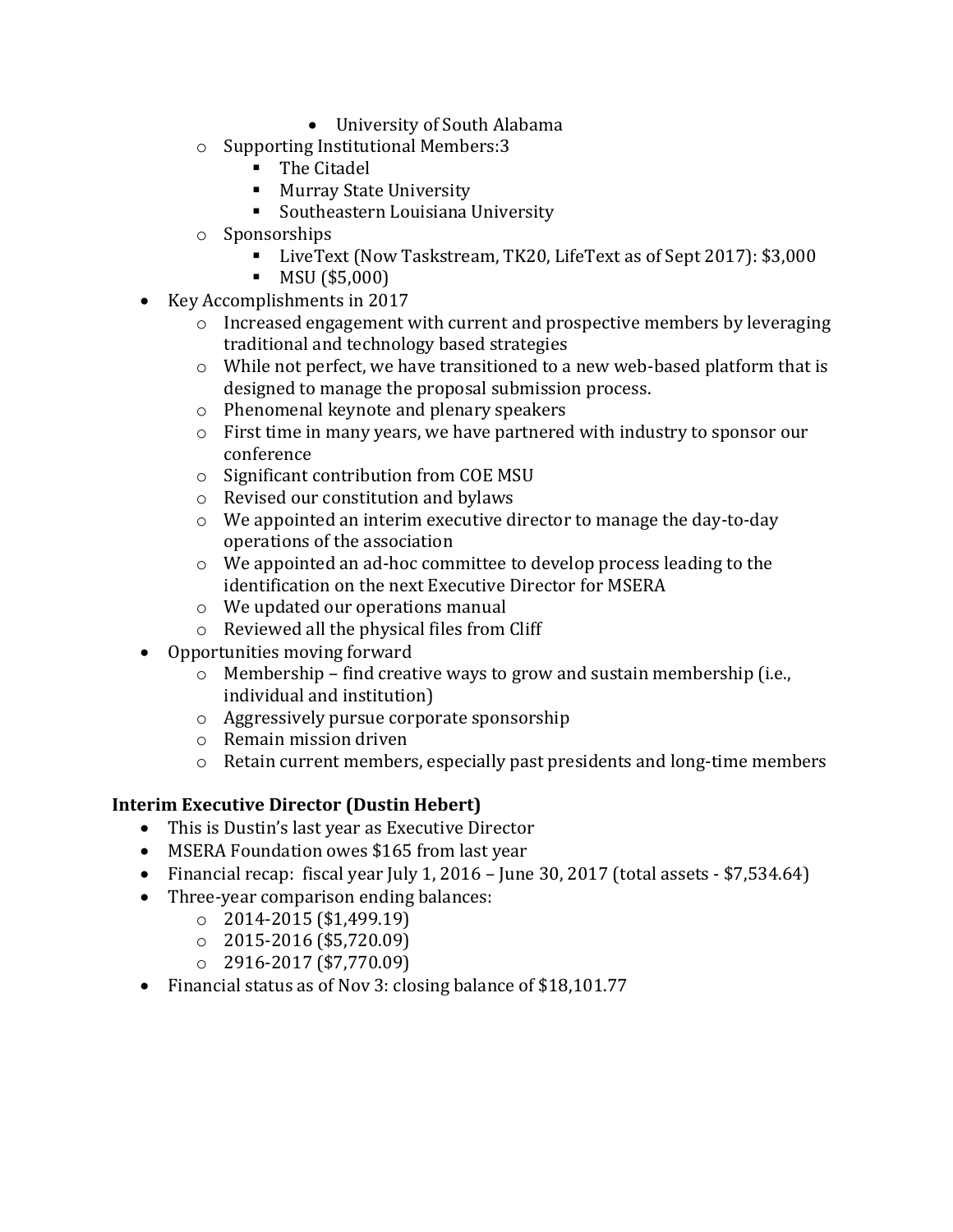- University of South Alabama
- o Supporting Institutional Members:3
	- The Citadel
	- Murray State University
	- Southeastern Louisiana University
- o Sponsorships
	- LiveText (Now Taskstream, TK20, LifeText as of Sept 2017): \$3,000
	- MSU (\$5,000)
- Key Accomplishments in 2017
	- $\circ$  Increased engagement with current and prospective members by leveraging traditional and technology based strategies
	- o While not perfect, we have transitioned to a new web-based platform that is designed to manage the proposal submission process.
	- o Phenomenal keynote and plenary speakers
	- o First time in many years, we have partnered with industry to sponsor our conference
	- o Significant contribution from COE MSU
	- o Revised our constitution and bylaws
	- o We appointed an interim executive director to manage the day-to-day operations of the association
	- o We appointed an ad-hoc committee to develop process leading to the identification on the next Executive Director for MSERA
	- o We updated our operations manual
	- o Reviewed all the physical files from Cliff
- Opportunities moving forward
	- o Membership find creative ways to grow and sustain membership (i.e., individual and institution)
	- o Aggressively pursue corporate sponsorship
	- o Remain mission driven
	- o Retain current members, especially past presidents and long-time members

### **Interim Executive Director (Dustin Hebert)**

- This is Dustin's last year as Executive Director
- MSERA Foundation owes \$165 from last year
- Financial recap: fiscal year July 1, 2016 June 30, 2017 (total assets  $-$  \$7,534.64)
- Three-year comparison ending balances:
	- $\degree$  2014-2015 (\$1,499.19)
	- $\circ$  2015-2016 (\$5,720.09)
	- $\degree$  2916-2017 (\$7,770.09)
- Financial status as of Nov 3: closing balance of \$18,101.77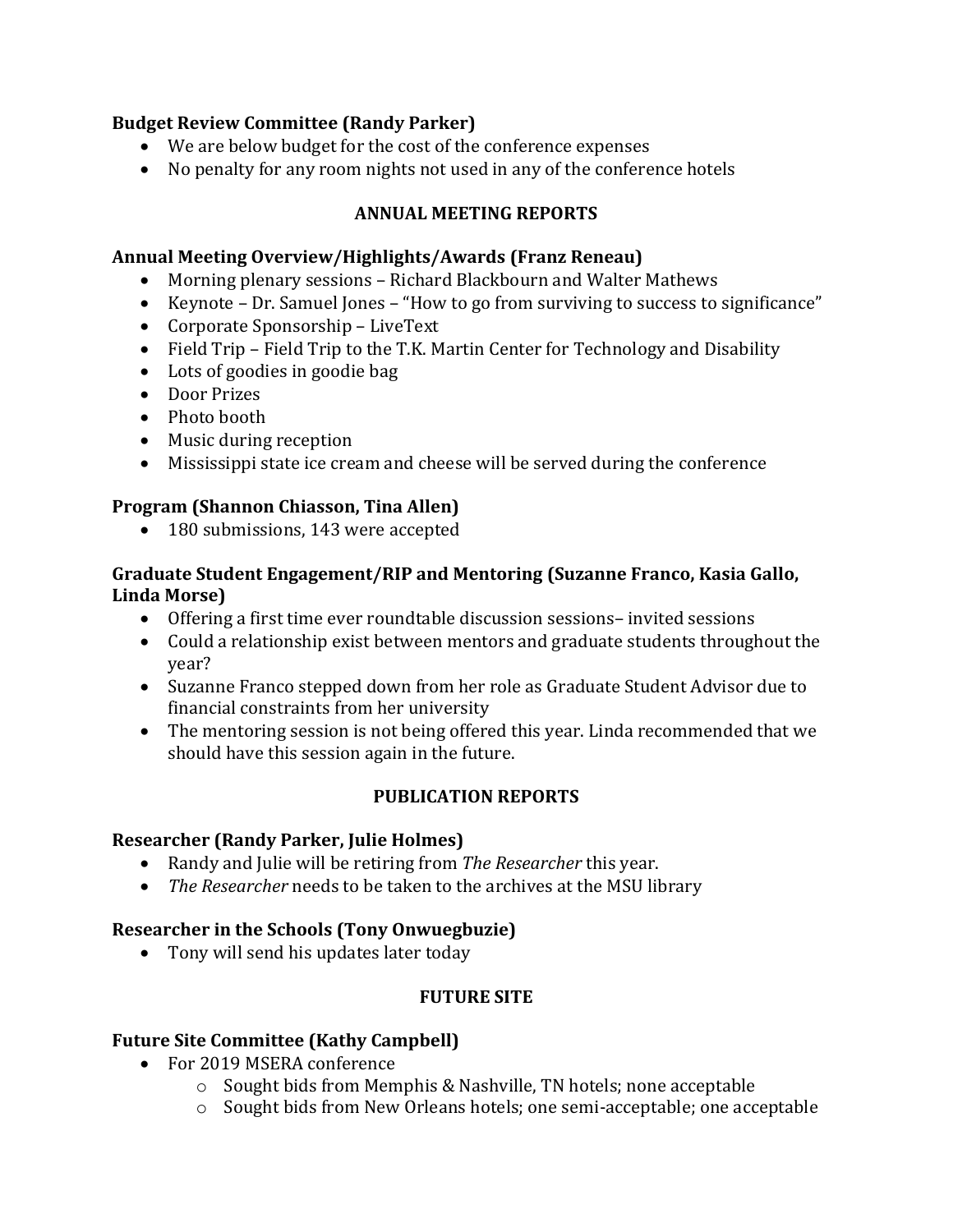## **Budget Review Committee (Randy Parker)**

- We are below budget for the cost of the conference expenses
- No penalty for any room nights not used in any of the conference hotels

# **ANNUAL MEETING REPORTS**

### **Annual Meeting Overview/Highlights/Awards (Franz Reneau)**

- Morning plenary sessions Richard Blackbourn and Walter Mathews
- Keynote Dr. Samuel Jones "How to go from surviving to success to significance"
- Corporate Sponsorship LiveText
- Field Trip Field Trip to the T.K. Martin Center for Technology and Disability
- Lots of goodies in goodie bag
- Door Prizes
- Photo booth
- Music during reception
- Mississippi state ice cream and cheese will be served during the conference

## **Program (Shannon Chiasson, Tina Allen)**

• 180 submissions, 143 were accepted

## **Graduate Student Engagement/RIP and Mentoring (Suzanne Franco, Kasia Gallo, Linda Morse)**

- Offering a first time ever roundtable discussion sessions– invited sessions
- Could a relationship exist between mentors and graduate students throughout the year?
- Suzanne Franco stepped down from her role as Graduate Student Advisor due to financial constraints from her university
- The mentoring session is not being offered this year. Linda recommended that we should have this session again in the future.

# **PUBLICATION REPORTS**

### **Researcher (Randy Parker, Julie Holmes)**

- Randy and Julie will be retiring from *The Researcher* this year.
- *The Researcher* needs to be taken to the archives at the MSU library

# **Researcher in the Schools (Tony Onwuegbuzie)**

• Tony will send his updates later today

# **FUTURE SITE**

# **Future Site Committee (Kathy Campbell)**

- For 2019 MSERA conference
	- o Sought bids from Memphis & Nashville, TN hotels; none acceptable
	- o Sought bids from New Orleans hotels; one semi-acceptable; one acceptable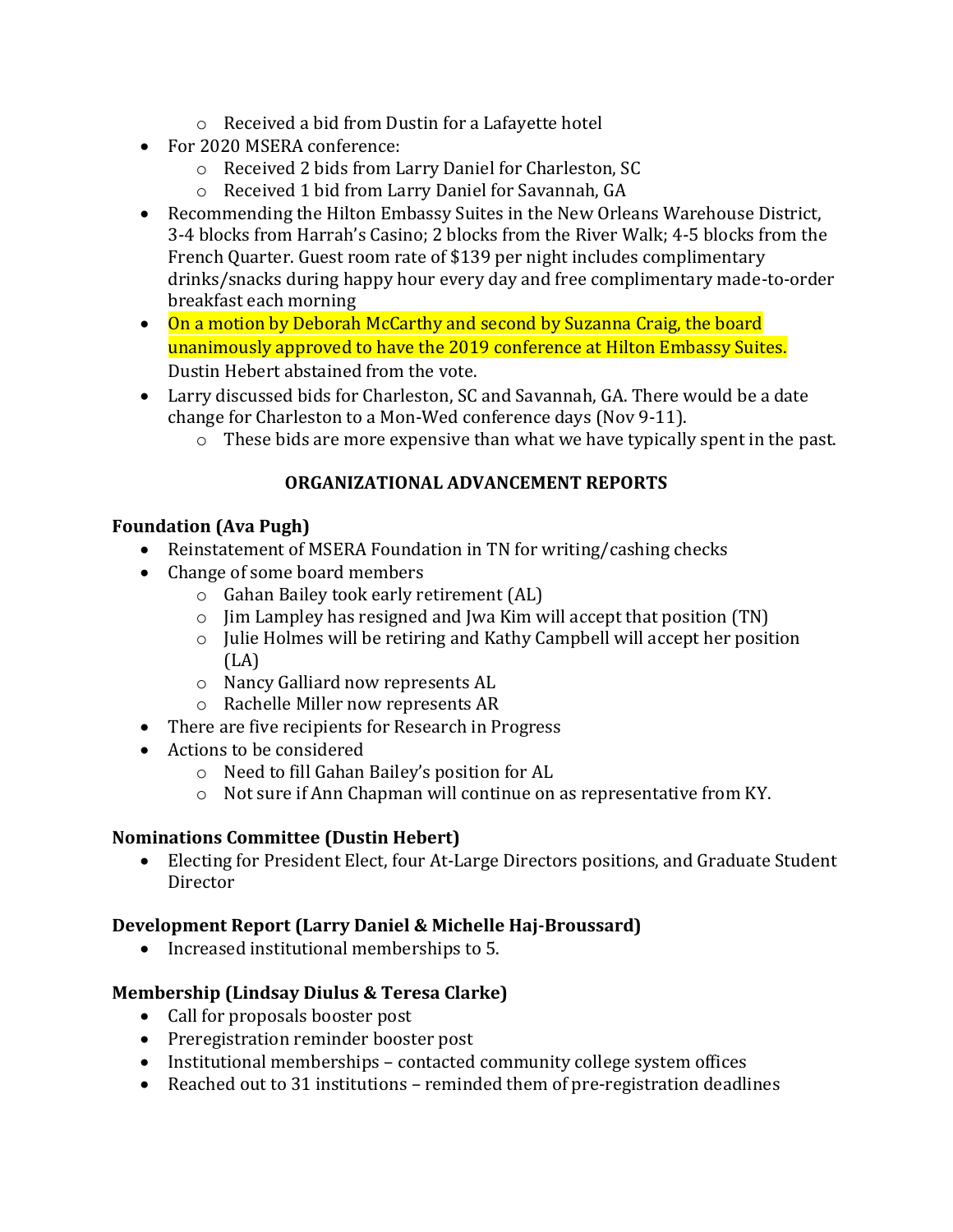- o Received a bid from Dustin for a Lafayette hotel
- For 2020 MSERA conference:
	- o Received 2 bids from Larry Daniel for Charleston, SC
	- o Received 1 bid from Larry Daniel for Savannah, GA
- Recommending the Hilton Embassy Suites in the New Orleans Warehouse District, 3-4 blocks from Harrah's Casino; 2 blocks from the River Walk; 4-5 blocks from the French Quarter. Guest room rate of \$139 per night includes complimentary drinks/snacks during happy hour every day and free complimentary made-to-order breakfast each morning
- On a motion by Deborah McCarthy and second by Suzanna Craig, the board unanimously approved to have the 2019 conference at Hilton Embassy Suites. Dustin Hebert abstained from the vote.
- Larry discussed bids for Charleston, SC and Savannah, GA. There would be a date change for Charleston to a Mon-Wed conference days (Nov 9-11).
	- o These bids are more expensive than what we have typically spent in the past.

# **ORGANIZATIONAL ADVANCEMENT REPORTS**

# **Foundation (Ava Pugh)**

- Reinstatement of MSERA Foundation in TN for writing/cashing checks
- Change of some board members
	- o Gahan Bailey took early retirement (AL)
	- o Jim Lampley has resigned and Jwa Kim will accept that position (TN)
	- o Julie Holmes will be retiring and Kathy Campbell will accept her position  $(LA)$
	- o Nancy Galliard now represents AL
	- o Rachelle Miller now represents AR
- There are five recipients for Research in Progress
- Actions to be considered
	- o Need to fill Gahan Bailey's position for AL
	- o Not sure if Ann Chapman will continue on as representative from KY.

# **Nominations Committee (Dustin Hebert)**

• Electing for President Elect, four At-Large Directors positions, and Graduate Student Director

# **Development Report (Larry Daniel & Michelle Haj-Broussard)**

• Increased institutional memberships to 5.

# **Membership (Lindsay Diulus & Teresa Clarke)**

- Call for proposals booster post
- Preregistration reminder booster post
- Institutional memberships contacted community college system offices
- Reached out to 31 institutions reminded them of pre-registration deadlines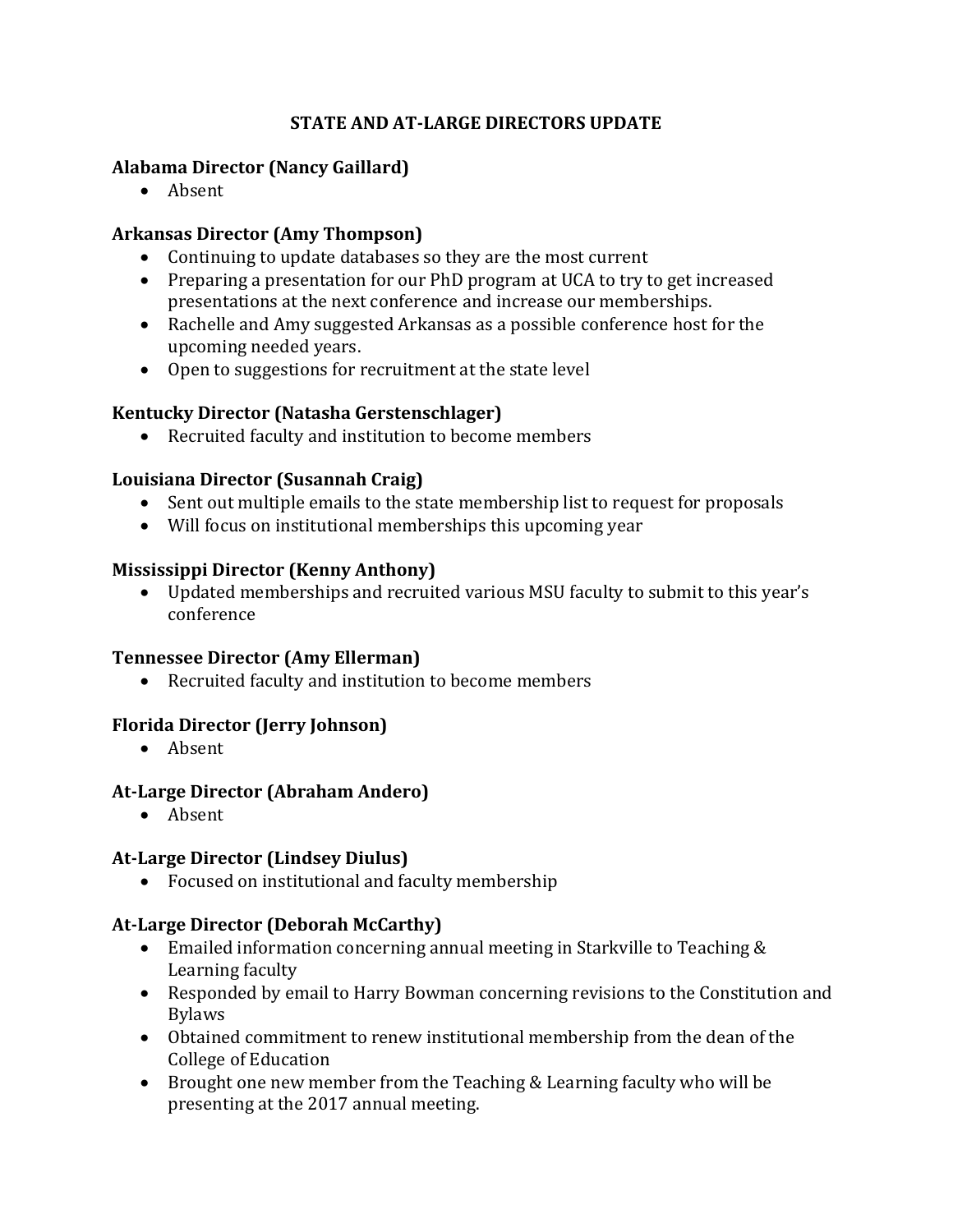# **STATE AND AT-LARGE DIRECTORS UPDATE**

## **Alabama Director (Nancy Gaillard)**

• Absent

## **Arkansas Director (Amy Thompson)**

- Continuing to update databases so they are the most current
- Preparing a presentation for our PhD program at UCA to try to get increased presentations at the next conference and increase our memberships.
- Rachelle and Amy suggested Arkansas as a possible conference host for the upcoming needed years.
- Open to suggestions for recruitment at the state level

## **Kentucky Director (Natasha Gerstenschlager)**

• Recruited faculty and institution to become members

## **Louisiana Director (Susannah Craig)**

- Sent out multiple emails to the state membership list to request for proposals
- Will focus on institutional memberships this upcoming year

### **Mississippi Director (Kenny Anthony)**

• Updated memberships and recruited various MSU faculty to submit to this year's conference

### **Tennessee Director (Amy Ellerman)**

• Recruited faculty and institution to become members

# **Florida Director (Jerry Johnson)**

• Absent

### **At-Large Director (Abraham Andero)**

• Absent

### **At-Large Director (Lindsey Diulus)**

• Focused on institutional and faculty membership

### **At-Large Director (Deborah McCarthy)**

- Emailed information concerning annual meeting in Starkville to Teaching & Learning faculty
- Responded by email to Harry Bowman concerning revisions to the Constitution and Bylaws
- Obtained commitment to renew institutional membership from the dean of the College of Education
- Brought one new member from the Teaching & Learning faculty who will be presenting at the 2017 annual meeting.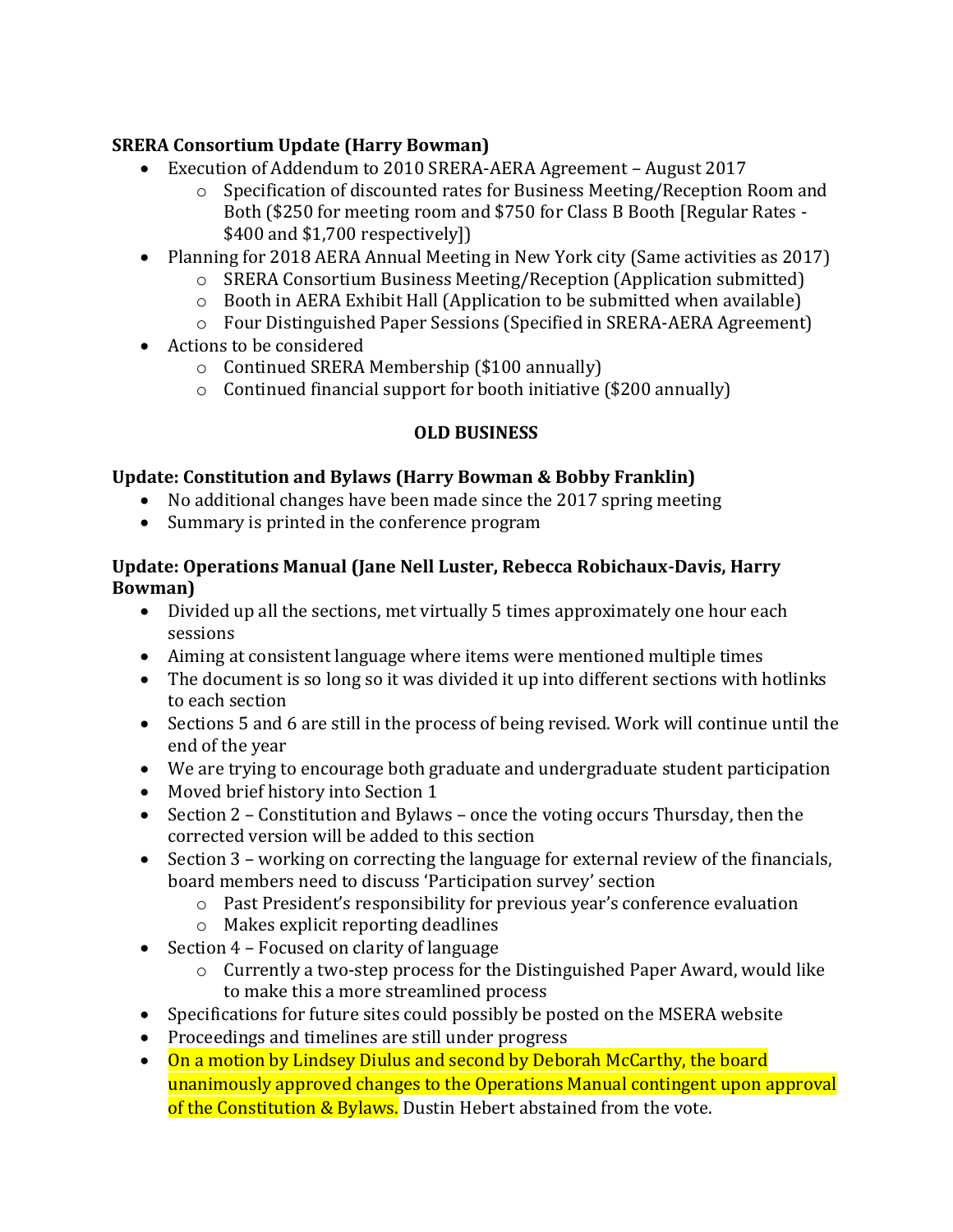# **SRERA Consortium Update (Harry Bowman)**

- Execution of Addendum to 2010 SRERA-AERA Agreement August 2017
	- o Specification of discounted rates for Business Meeting/Reception Room and Both (\$250 for meeting room and \$750 for Class B Booth [Regular Rates - \$400 and \$1,700 respectively])
- Planning for 2018 AERA Annual Meeting in New York city (Same activities as 2017)
	- o SRERA Consortium Business Meeting/Reception (Application submitted)
	- o Booth in AERA Exhibit Hall (Application to be submitted when available)
	- o Four Distinguished Paper Sessions (Specified in SRERA-AERA Agreement)
- Actions to be considered
	- o Continued SRERA Membership (\$100 annually)
	- $\circ$  Continued financial support for booth initiative (\$200 annually)

# **OLD BUSINESS**

# **Update: Constitution and Bylaws (Harry Bowman & Bobby Franklin)**

- No additional changes have been made since the 2017 spring meeting
- Summary is printed in the conference program

## **Update: Operations Manual (Jane Nell Luster, Rebecca Robichaux-Davis, Harry Bowman)**

- Divided up all the sections, met virtually 5 times approximately one hour each sessions
- Aiming at consistent language where items were mentioned multiple times
- The document is so long so it was divided it up into different sections with hotlinks to each section
- Sections 5 and 6 are still in the process of being revised. Work will continue until the end of the year
- We are trying to encourage both graduate and undergraduate student participation
- Moved brief history into Section 1
- Section 2 Constitution and Bylaws once the voting occurs Thursday, then the corrected version will be added to this section
- Section 3 working on correcting the language for external review of the financials, board members need to discuss 'Participation survey' section
	- o Past President's responsibility for previous year's conference evaluation
	- o Makes explicit reporting deadlines
- Section 4 Focused on clarity of language
	- o Currently a two-step process for the Distinguished Paper Award, would like to make this a more streamlined process
- Specifications for future sites could possibly be posted on the MSERA website
- Proceedings and timelines are still under progress
- On a motion by Lindsey Diulus and second by Deborah McCarthy, the board unanimously approved changes to the Operations Manual contingent upon approval of the Constitution & Bylaws. Dustin Hebert abstained from the vote.